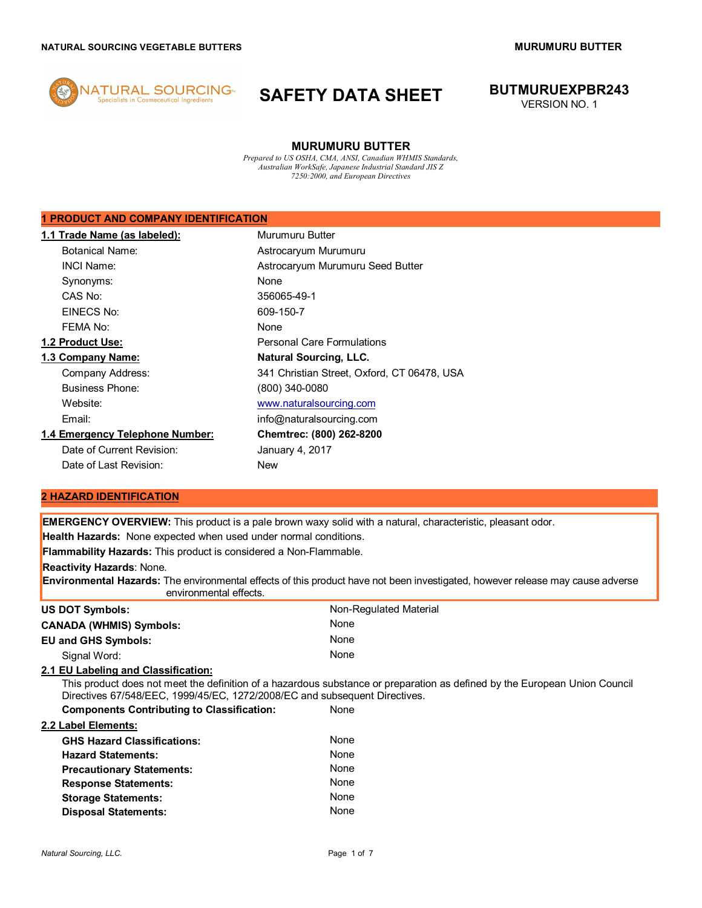

# **SAFETY DATA SHEET BUTMURUEXPBR243**

VERSION NO. 1

# **MURUMURU BUTTER**

*Prepared to US OSHA, CMA, ANSI, Canadian WHMIS Standards, Australian WorkSafe, Japanese Industrial Standard JIS Z 7250:2000, and European Directives*

# **1 PRODUCT AND COMPANY IDENTIFICATION**

| 1.1 Trade Name (as labeled):    | Murumuru Butter                             |
|---------------------------------|---------------------------------------------|
| <b>Botanical Name:</b>          | Astrocaryum Murumuru                        |
| <b>INCI Name:</b>               | Astrocaryum Murumuru Seed Butter            |
| Synonyms:                       | <b>None</b>                                 |
| CAS No:                         | 356065-49-1                                 |
| EINECS No:                      | 609-150-7                                   |
| FEMA No:                        | None                                        |
| 1.2 Product Use:                | <b>Personal Care Formulations</b>           |
| 1.3 Company Name:               | <b>Natural Sourcing, LLC.</b>               |
| Company Address:                | 341 Christian Street, Oxford, CT 06478, USA |
| <b>Business Phone:</b>          | (800) 340-0080                              |
| Website:                        | www.naturalsourcing.com                     |
| Email:                          | info@naturalsourcing.com                    |
| 1.4 Emergency Telephone Number: | Chemtrec: (800) 262-8200                    |
| Date of Current Revision:       | January 4, 2017                             |
| Date of Last Revision:          | New                                         |

# **2 HAZARD IDENTIFICATION**

| <b>EMERGENCY OVERVIEW:</b> This product is a pale brown waxy solid with a natural, characteristic, pleasant odor.                                                                                        |  |  |
|----------------------------------------------------------------------------------------------------------------------------------------------------------------------------------------------------------|--|--|
| Health Hazards: None expected when used under normal conditions.                                                                                                                                         |  |  |
| <b>Flammability Hazards:</b> This product is considered a Non-Flammable.                                                                                                                                 |  |  |
|                                                                                                                                                                                                          |  |  |
| <b>Environmental Hazards:</b> The environmental effects of this product have not been investigated, however release may cause adverse<br>environmental effects.                                          |  |  |
| Non-Regulated Material                                                                                                                                                                                   |  |  |
| None                                                                                                                                                                                                     |  |  |
| None                                                                                                                                                                                                     |  |  |
| None                                                                                                                                                                                                     |  |  |
|                                                                                                                                                                                                          |  |  |
| This product does not meet the definition of a hazardous substance or preparation as defined by the European Union Council<br>Directives 67/548/EEC, 1999/45/EC, 1272/2008/EC and subsequent Directives. |  |  |
| None                                                                                                                                                                                                     |  |  |
|                                                                                                                                                                                                          |  |  |
| None                                                                                                                                                                                                     |  |  |
| None                                                                                                                                                                                                     |  |  |
| None                                                                                                                                                                                                     |  |  |
| None                                                                                                                                                                                                     |  |  |
| None                                                                                                                                                                                                     |  |  |
| None                                                                                                                                                                                                     |  |  |
|                                                                                                                                                                                                          |  |  |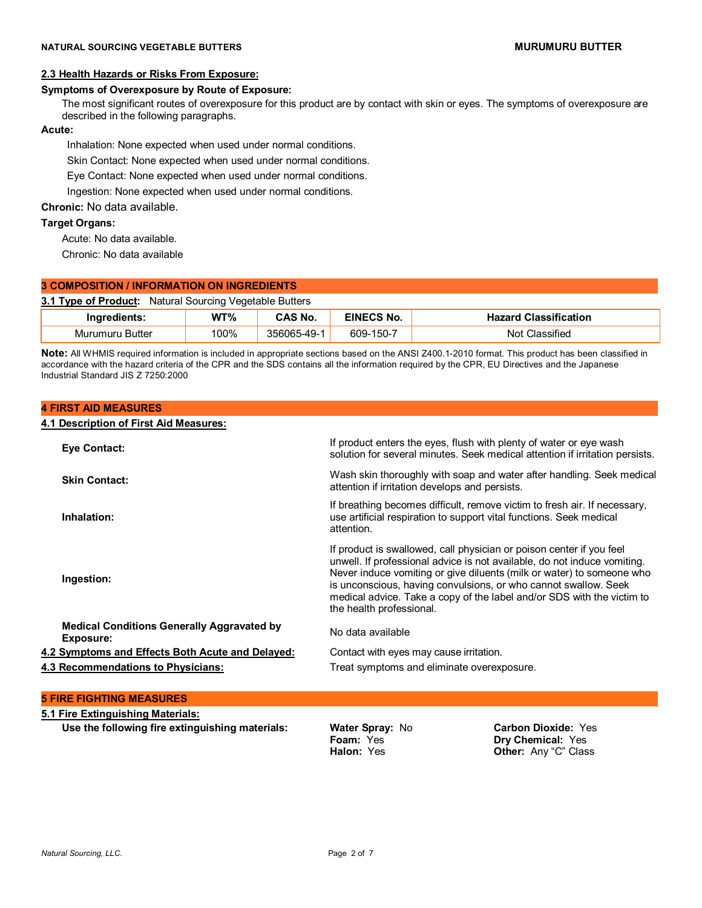# **2.3 Health Hazards or Risks From Exposure:**

#### **Symptoms of Overexposure by Route of Exposure:**

The most significant routes of overexposure for this product are by contact with skin or eyes. The symptoms of overexposure are described in the following paragraphs.

# **Acute:**

Inhalation: None expected when used under normal conditions.

Skin Contact: None expected when used under normal conditions.

Eye Contact: None expected when used under normal conditions.

Ingestion: None expected when used under normal conditions.

**Chronic:** No data available.

**4 FIRST AID MEASURES**

### **Target Organs:**

Acute: No data available.

Chronic: No data available

# **3 COMPOSITION / INFORMATION ON INGREDIENTS**

**3.1 Type of Product:** Natural Sourcing Vegetable Butters

| varedients.               | WT%  | ີ ^ S No.    . | EINECS<br>No.            | assification<br>$-1$<br>1266<br>па |
|---------------------------|------|----------------|--------------------------|------------------------------------|
| Murumuru<br><b>Butter</b> | 100% | -49-<br>356065 | --<br>$150 -$<br>$609 -$ | $\cdot$<br>Classified<br>Not       |

**Note:** All WHMIS required information is included in appropriate sections based on the ANSI Z400.1-2010 format. This product has been classified in accordance with the hazard criteria of the CPR and the SDS contains all the information required by the CPR, EU Directives and the Japanese Industrial Standard JIS Z 7250:2000

| 4.1 Description of First Aid Measures:                                |                                                                                                                                                                                                                                                                                                                                                                                                    |
|-----------------------------------------------------------------------|----------------------------------------------------------------------------------------------------------------------------------------------------------------------------------------------------------------------------------------------------------------------------------------------------------------------------------------------------------------------------------------------------|
| <b>Eye Contact:</b>                                                   | If product enters the eyes, flush with plenty of water or eye wash<br>solution for several minutes. Seek medical attention if irritation persists.                                                                                                                                                                                                                                                 |
| <b>Skin Contact:</b>                                                  | Wash skin thoroughly with soap and water after handling. Seek medical<br>attention if irritation develops and persists.                                                                                                                                                                                                                                                                            |
| Inhalation:                                                           | If breathing becomes difficult, remove victim to fresh air. If necessary,<br>use artificial respiration to support vital functions. Seek medical<br>attention.                                                                                                                                                                                                                                     |
| Ingestion:                                                            | If product is swallowed, call physician or poison center if you feel<br>unwell. If professional advice is not available, do not induce vomiting.<br>Never induce vomiting or give diluents (milk or water) to someone who<br>is unconscious, having convulsions, or who cannot swallow. Seek<br>medical advice. Take a copy of the label and/or SDS with the victim to<br>the health professional. |
| <b>Medical Conditions Generally Aggravated by</b><br><b>Exposure:</b> | No data available                                                                                                                                                                                                                                                                                                                                                                                  |
| 4.2 Symptoms and Effects Both Acute and Delayed:                      | Contact with eyes may cause irritation.                                                                                                                                                                                                                                                                                                                                                            |
| 4.3 Recommendations to Physicians:                                    | Treat symptoms and eliminate overexposure.                                                                                                                                                                                                                                                                                                                                                         |
| <b>5 FIRE FIGHTING MEASURES</b>                                       |                                                                                                                                                                                                                                                                                                                                                                                                    |
| 5.1 Fire Extinguishing Materials:                                     |                                                                                                                                                                                                                                                                                                                                                                                                    |

**Use the following fire extinguishing materials: Water Spray:** No

**Foam:** Yes **Halon:** Yes

**Carbon Dioxide:** Yes **Dry Chemical:** Yes **Other:** Any "C" Class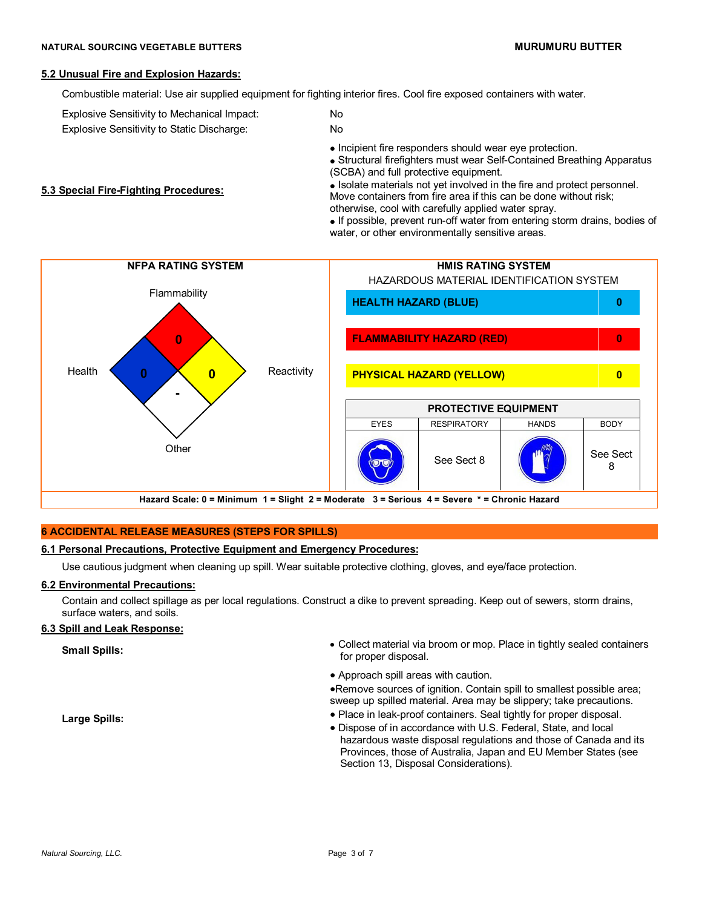#### **5.2 Unusual Fire and Explosion Hazards:**

**5.3 Special Fire-Fighting Procedures:**

Combustible material: Use air supplied equipment for fighting interior fires. Cool fire exposed containers with water.

Explosive Sensitivity to Mechanical Impact: No

Explosive Sensitivity to Static Discharge: No

• Incipient fire responders should wear eye protection.

 Structural firefighters must wear Self-Contained Breathing Apparatus (SCBA) and full protective equipment.

• Isolate materials not yet involved in the fire and protect personnel. Move containers from fire area if this can be done without risk; otherwise, cool with carefully applied water spray.

• If possible, prevent run-off water from entering storm drains, bodies of water, or other environmentally sensitive areas.



# **6 ACCIDENTAL RELEASE MEASURES (STEPS FOR SPILLS)**

# **6.1 Personal Precautions, Protective Equipment and Emergency Procedures:**

Use cautious judgment when cleaning up spill. Wear suitable protective clothing, gloves, and eye/face protection.

# **6.2 Environmental Precautions:**

Contain and collect spillage as per local regulations. Construct a dike to prevent spreading. Keep out of sewers, storm drains, surface waters, and soils.

# **6.3 Spill and Leak Response:**

**Small Spills:** Small Spills: **Small Spills: Collect material via broom or mop.** Place in tightly sealed containers for proper disposal.

Approach spill areas with caution.

Remove sources of ignition. Contain spill to smallest possible area; sweep up spilled material. Area may be slippery; take precautions.

Place in leak-proof containers. Seal tightly for proper disposal.

 Dispose of in accordance with U.S. Federal, State, and local hazardous waste disposal regulations and those of Canada and its Provinces, those of Australia, Japan and EU Member States (see Section 13, Disposal Considerations).

**Large Spills:**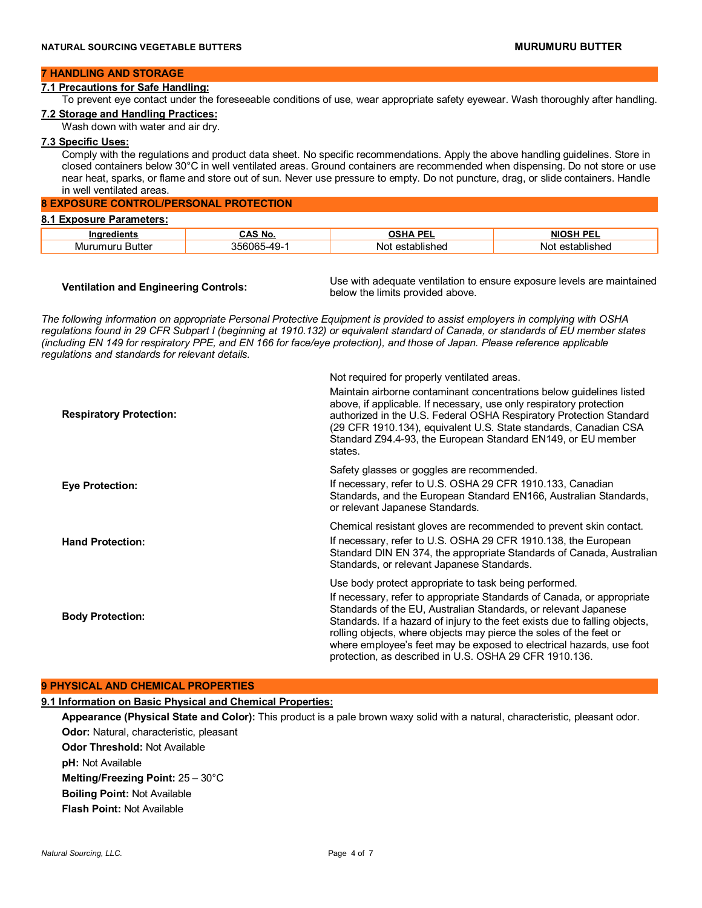#### **7 HANDLING AND STORAGE**

#### **7.1 Precautions for Safe Handling:**

To prevent eye contact under the foreseeable conditions of use, wear appropriate safety eyewear. Wash thoroughly after handling. **7.2 Storage and Handling Practices:**

Wash down with water and air dry.

### **7.3 Specific Uses:**

Comply with the regulations and product data sheet. No specific recommendations. Apply the above handling guidelines. Store in closed containers below 30°C in well ventilated areas. Ground containers are recommended when dispensing. Do not store or use near heat, sparks, or flame and store out of sun. Never use pressure to empty. Do not puncture, drag, or slide containers. Handle in well ventilated areas.

# **8 EXPOSURE CONTROL/PERSONAL PROTECTION**

| 8.1 Exposure Parameters: |                |                      |                      |
|--------------------------|----------------|----------------------|----------------------|
| Ingredients              | No.<br>۰^c     | <b>OSHA PEL</b>      | NIOSH PFI            |
| Butter<br>Murumuru       | -49-<br>56065. | : established<br>Not | ' established<br>N∩t |

**Ventilation and Engineering Controls:** Use with adequate ventilation to ensure exposure levels are maintained below the limits provided above.

*The following information on appropriate Personal Protective Equipment is provided to assist employers in complying with OSHA regulations found in 29 CFR Subpart I (beginning at 1910.132) or equivalent standard of Canada, or standards of EU member states (including EN 149 for respiratory PPE, and EN 166 for face/eye protection), and those of Japan. Please reference applicable regulations and standards for relevant details.*

| <b>Respiratory Protection:</b> | Not required for properly ventilated areas.<br>Maintain airborne contaminant concentrations below guidelines listed<br>above, if applicable. If necessary, use only respiratory protection<br>authorized in the U.S. Federal OSHA Respiratory Protection Standard<br>(29 CFR 1910.134), equivalent U.S. State standards, Canadian CSA<br>Standard Z94.4-93, the European Standard EN149, or EU member<br>states.                                                                          |
|--------------------------------|-------------------------------------------------------------------------------------------------------------------------------------------------------------------------------------------------------------------------------------------------------------------------------------------------------------------------------------------------------------------------------------------------------------------------------------------------------------------------------------------|
| <b>Eye Protection:</b>         | Safety glasses or goggles are recommended.<br>If necessary, refer to U.S. OSHA 29 CFR 1910.133, Canadian<br>Standards, and the European Standard EN166, Australian Standards,<br>or relevant Japanese Standards.                                                                                                                                                                                                                                                                          |
| <b>Hand Protection:</b>        | Chemical resistant gloves are recommended to prevent skin contact.<br>If necessary, refer to U.S. OSHA 29 CFR 1910.138, the European<br>Standard DIN EN 374, the appropriate Standards of Canada, Australian<br>Standards, or relevant Japanese Standards.                                                                                                                                                                                                                                |
| <b>Body Protection:</b>        | Use body protect appropriate to task being performed.<br>If necessary, refer to appropriate Standards of Canada, or appropriate<br>Standards of the EU, Australian Standards, or relevant Japanese<br>Standards. If a hazard of injury to the feet exists due to falling objects,<br>rolling objects, where objects may pierce the soles of the feet or<br>where employee's feet may be exposed to electrical hazards, use foot<br>protection, as described in U.S. OSHA 29 CFR 1910.136. |

#### **9 PHYSICAL AND CHEMICAL PROPERTIES**

# **9.1 Information on Basic Physical and Chemical Properties:**

**Appearance (Physical State and Color):** This product is a pale brown waxy solid with a natural, characteristic, pleasant odor. **Odor:** Natural, characteristic, pleasant **Odor Threshold:** Not Available **pH:** Not Available **Melting/Freezing Point:** 25 – 30°C **Boiling Point:** Not Available **Flash Point:** Not Available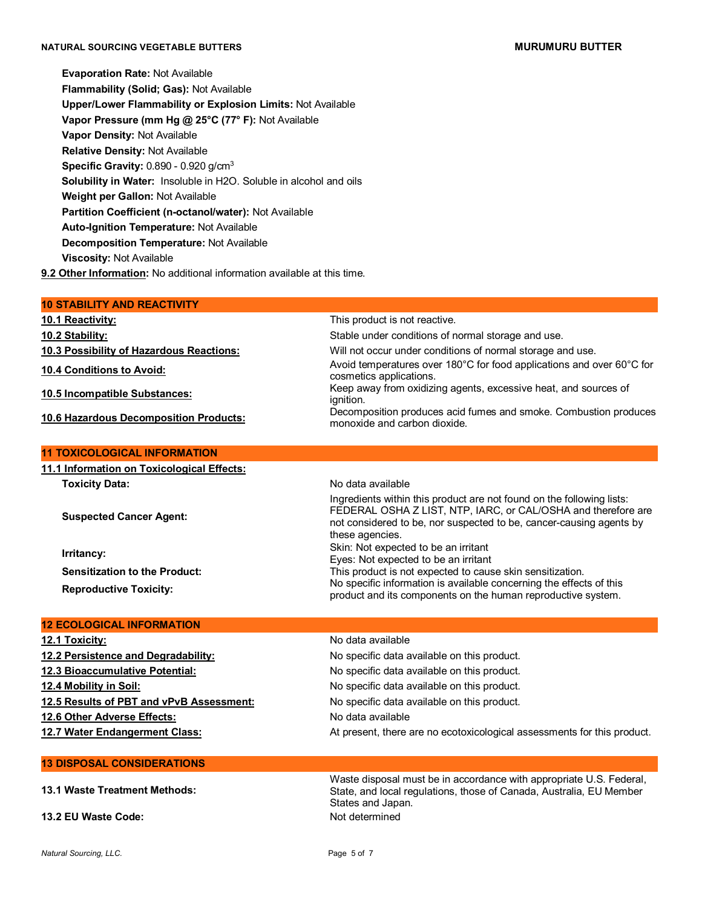# **NATURAL SOURCING VEGETABLE BUTTERS MURUMURU BUTTER**

**Evaporation Rate:** Not Available **Flammability (Solid; Gas):** Not Available **Upper/Lower Flammability or Explosion Limits:** Not Available **Vapor Pressure (mm Hg @ 25°C (77° F):** Not Available **Vapor Density:** Not Available **Relative Density:** Not Available **Specific Gravity:** 0.890 - 0.920 g/cm<sup>3</sup>  **Solubility in Water:** Insoluble in H2O. Soluble in alcohol and oils **Weight per Gallon:** Not Available **Partition Coefficient (n-octanol/water):** Not Available **Auto-Ignition Temperature:** Not Available **Decomposition Temperature:** Not Available **Viscosity:** Not Available **9.2 Other Information:** No additional information available at this time.

| <b>10 STABILITY AND REACTIVITY</b>         |                                                                                                                                                                                                                                  |
|--------------------------------------------|----------------------------------------------------------------------------------------------------------------------------------------------------------------------------------------------------------------------------------|
| <b>10.1 Reactivity:</b>                    | This product is not reactive.                                                                                                                                                                                                    |
| 10.2 Stability:                            | Stable under conditions of normal storage and use.                                                                                                                                                                               |
| 10.3 Possibility of Hazardous Reactions:   | Will not occur under conditions of normal storage and use.                                                                                                                                                                       |
| 10.4 Conditions to Avoid:                  | Avoid temperatures over 180°C for food applications and over 60°C for<br>cosmetics applications.                                                                                                                                 |
| 10.5 Incompatible Substances:              | Keep away from oxidizing agents, excessive heat, and sources of<br>ignition.                                                                                                                                                     |
| 10.6 Hazardous Decomposition Products:     | Decomposition produces acid fumes and smoke. Combustion produces<br>monoxide and carbon dioxide.                                                                                                                                 |
| <b>11 TOXICOLOGICAL INFORMATION</b>        |                                                                                                                                                                                                                                  |
| 11.1 Information on Toxicological Effects: |                                                                                                                                                                                                                                  |
| Toxicity Data:                             | No data available                                                                                                                                                                                                                |
| <b>Suspected Cancer Agent:</b>             | Ingredients within this product are not found on the following lists:<br>FEDERAL OSHA Z LIST, NTP, IARC, or CAL/OSHA and therefore are<br>not considered to be, nor suspected to be, cancer-causing agents by<br>these agencies. |
| Irritancy:                                 | Skin: Not expected to be an irritant<br>Eyes: Not expected to be an irritant                                                                                                                                                     |
| <b>Sensitization to the Product:</b>       | This product is not expected to cause skin sensitization.                                                                                                                                                                        |
| <b>Reproductive Toxicity:</b>              | No specific information is available concerning the effects of this<br>product and its components on the human reproductive system.                                                                                              |
| <b>12 ECOLOGICAL INFORMATION</b>           |                                                                                                                                                                                                                                  |
| 12.1 Toxicity:                             | No data available                                                                                                                                                                                                                |

| IZ.I I UAIUILY.                          | <u>iyu udid dvalidiya</u>                                               |
|------------------------------------------|-------------------------------------------------------------------------|
| 12.2 Persistence and Degradability:      | No specific data available on this product.                             |
| 12.3 Bioaccumulative Potential:          | No specific data available on this product.                             |
| 12.4 Mobility in Soil:                   | No specific data available on this product.                             |
| 12.5 Results of PBT and vPvB Assessment: | No specific data available on this product.                             |
| 12.6 Other Adverse Effects:              | No data available                                                       |
| 12.7 Water Endangerment Class:           | At present, there are no ecotoxicological assessments for this product. |
|                                          |                                                                         |
| <b>13 DISPOSAL CONSIDERATIONS</b>        |                                                                         |

**13.1 Waste Treatment Methods:** Waste disposal must be in accordance with appropriate U.S. Federal, State, and local regulations, those of Canada, Australia, EU Member States and Japan. **13.2 EU Waste Code:** Not determined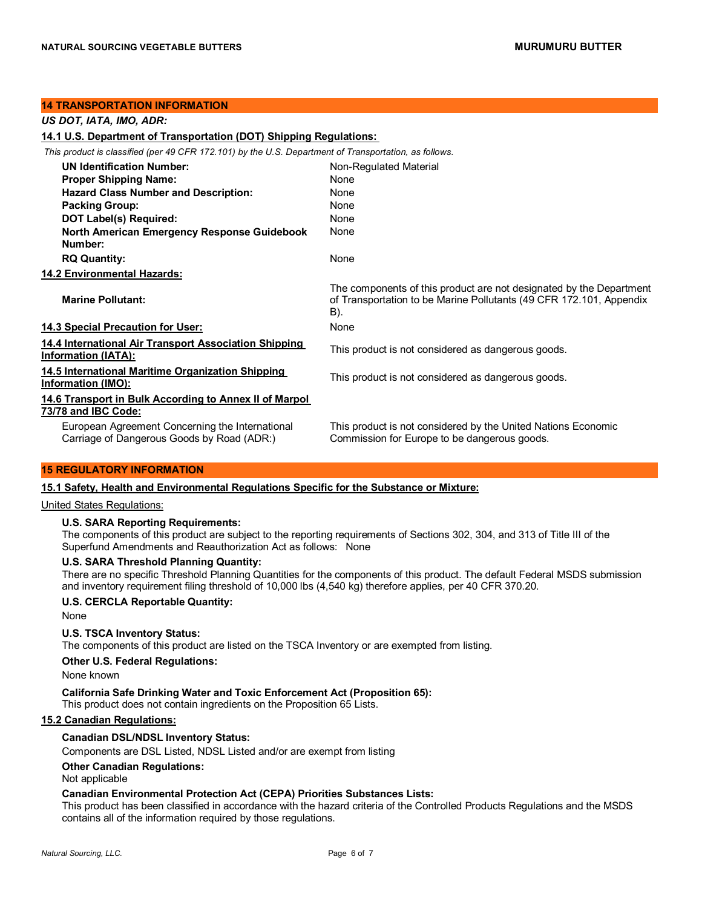#### **14 TRANSPORTATION INFORMATION**

| US DOT, IATA, IMO, ADR:                                                                               |                                                                                                                                                   |
|-------------------------------------------------------------------------------------------------------|---------------------------------------------------------------------------------------------------------------------------------------------------|
| 14.1 U.S. Department of Transportation (DOT) Shipping Regulations:                                    |                                                                                                                                                   |
| This product is classified (per 49 CFR 172.101) by the U.S. Department of Transportation, as follows. |                                                                                                                                                   |
| <b>UN Identification Number:</b>                                                                      | Non-Regulated Material                                                                                                                            |
| <b>Proper Shipping Name:</b>                                                                          | <b>None</b>                                                                                                                                       |
| <b>Hazard Class Number and Description:</b>                                                           | None                                                                                                                                              |
| <b>Packing Group:</b>                                                                                 | None                                                                                                                                              |
| DOT Label(s) Required:                                                                                | <b>None</b>                                                                                                                                       |
| North American Emergency Response Guidebook<br>Number:                                                | None                                                                                                                                              |
| <b>RQ Quantity:</b>                                                                                   | None                                                                                                                                              |
| 14.2 Environmental Hazards:                                                                           |                                                                                                                                                   |
| <b>Marine Pollutant:</b>                                                                              | The components of this product are not designated by the Department<br>of Transportation to be Marine Pollutants (49 CFR 172.101, Appendix<br>B). |
| 14.3 Special Precaution for User:                                                                     | None                                                                                                                                              |
| 14.4 International Air Transport Association Shipping<br><b>Information (IATA):</b>                   | This product is not considered as dangerous goods.                                                                                                |
| 14.5 International Maritime Organization Shipping<br><b>Information (IMO):</b>                        | This product is not considered as dangerous goods.                                                                                                |
| 14.6 Transport in Bulk According to Annex II of Marpol<br>73/78 and IBC Code:                         |                                                                                                                                                   |
| European Agreement Concerning the International<br>Carriage of Dangerous Goods by Road (ADR:)         | This product is not considered by the United Nations Economic<br>Commission for Europe to be dangerous goods.                                     |

# **15 REGULATORY INFORMATION**

#### **15.1 Safety, Health and Environmental Regulations Specific for the Substance or Mixture:**

United States Regulations:

### **U.S. SARA Reporting Requirements:**

The components of this product are subject to the reporting requirements of Sections 302, 304, and 313 of Title III of the Superfund Amendments and Reauthorization Act as follows:None

# **U.S. SARA Threshold Planning Quantity:**

There are no specific Threshold Planning Quantities for the components of this product. The default Federal MSDS submission and inventory requirement filing threshold of 10,000 lbs (4,540 kg) therefore applies, per 40 CFR 370.20.

#### **U.S. CERCLA Reportable Quantity:**

None

#### **U.S. TSCA Inventory Status:**

The components of this product are listed on the TSCA Inventory or are exempted from listing.

### **Other U.S. Federal Regulations:**

None known

#### **California Safe Drinking Water and Toxic Enforcement Act (Proposition 65):**

This product does not contain ingredients on the Proposition 65 Lists.

# **15.2 Canadian Regulations:**

#### **Canadian DSL/NDSL Inventory Status:**

Components are DSL Listed, NDSL Listed and/or are exempt from listing

#### **Other Canadian Regulations:**

Not applicable

# **Canadian Environmental Protection Act (CEPA) Priorities Substances Lists:**

This product has been classified in accordance with the hazard criteria of the Controlled Products Regulations and the MSDS contains all of the information required by those regulations.